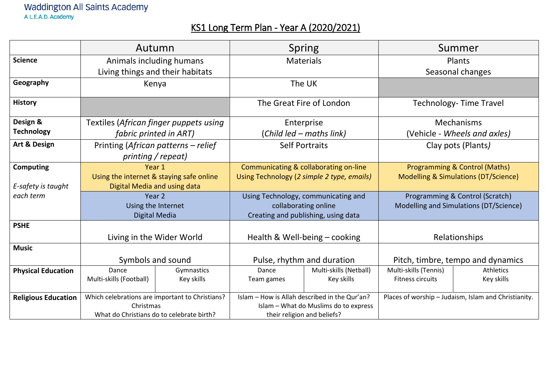## Waddington All Saints Academy A L.E.A.D. Academy

## KS1 Long Term Plan - Year A (2020/2021)

|                            | Autumn                                                       |                    | <b>Spring</b>                                                                          |                        | Summer                                          |                                                      |
|----------------------------|--------------------------------------------------------------|--------------------|----------------------------------------------------------------------------------------|------------------------|-------------------------------------------------|------------------------------------------------------|
| <b>Science</b>             | Animals including humans                                     |                    | <b>Materials</b>                                                                       |                        | Plants                                          |                                                      |
|                            | Living things and their habitats                             |                    |                                                                                        |                        | Seasonal changes                                |                                                      |
| Geography                  | Kenya                                                        |                    | The UK                                                                                 |                        |                                                 |                                                      |
| <b>History</b>             |                                                              |                    | The Great Fire of London                                                               |                        | <b>Technology-Time Travel</b>                   |                                                      |
| Design &                   | Textiles (African finger puppets using                       |                    | Enterprise                                                                             |                        | Mechanisms                                      |                                                      |
| <b>Technology</b>          | fabric printed in ART)                                       |                    | (Child led – maths link)                                                               |                        | (Vehicle - Wheels and axles)                    |                                                      |
| Art & Design               | Printing (African patterns - relief                          |                    | <b>Self Portraits</b>                                                                  |                        | Clay pots (Plants)                              |                                                      |
|                            |                                                              | printing / repeat) |                                                                                        |                        |                                                 |                                                      |
| <b>Computing</b>           | Year 1                                                       |                    | Communicating & collaborating on-line                                                  |                        | Programming & Control (Maths)                   |                                                      |
|                            | Using the internet & staying safe online                     |                    | Using Technology (2 simple 2 type, emails)                                             |                        | <b>Modelling &amp; Simulations (DT/Science)</b> |                                                      |
| E-safety is taught         | Digital Media and using data                                 |                    |                                                                                        |                        |                                                 |                                                      |
| each term                  | Year 2                                                       |                    | Using Technology, communicating and                                                    |                        | Programming & Control (Scratch)                 |                                                      |
|                            | Using the Internet                                           |                    | collaborating online                                                                   |                        | Modelling and Simulations (DT/Science)          |                                                      |
|                            | Digital Media                                                |                    | Creating and publishing, using data                                                    |                        |                                                 |                                                      |
| <b>PSHE</b>                |                                                              |                    |                                                                                        |                        |                                                 |                                                      |
|                            | Living in the Wider World                                    |                    | Health & Well-being - cooking                                                          |                        | Relationships                                   |                                                      |
| <b>Music</b>               |                                                              |                    |                                                                                        |                        |                                                 |                                                      |
|                            | Symbols and sound                                            |                    | Pulse, rhythm and duration                                                             |                        | Pitch, timbre, tempo and dynamics               |                                                      |
| <b>Physical Education</b>  | Dance                                                        | Gymnastics         | Dance                                                                                  | Multi-skills (Netball) | Multi-skills (Tennis)                           | <b>Athletics</b>                                     |
|                            | Multi-skills (Football)                                      | Key skills         | Team games                                                                             | Key skills             | <b>Fitness circuits</b>                         | Key skills                                           |
|                            |                                                              |                    |                                                                                        |                        |                                                 |                                                      |
| <b>Religious Education</b> | Which celebrations are important to Christians?<br>Christmas |                    | Islam - How is Allah described in the Qur'an?<br>Islam - What do Muslims do to express |                        |                                                 | Places of worship - Judaism, Islam and Christianity. |
|                            | What do Christians do to celebrate birth?                    |                    | their religion and beliefs?                                                            |                        |                                                 |                                                      |